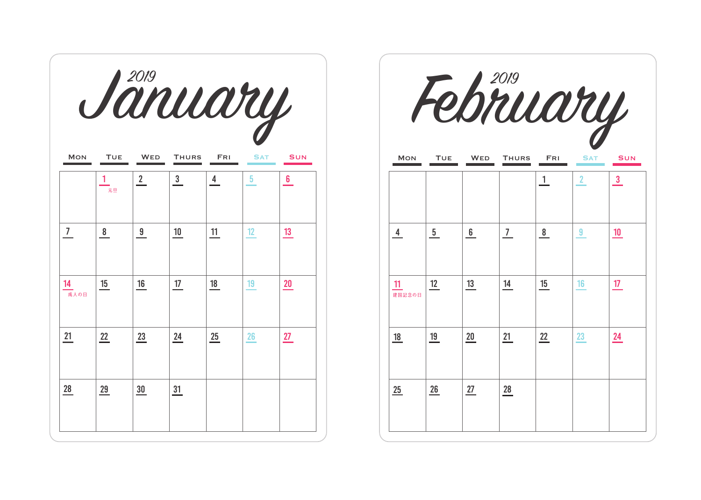|                |               |              | Jänuary      |              |                 |            |  |
|----------------|---------------|--------------|--------------|--------------|-----------------|------------|--|
| <b>MON</b>     | <b>TUE</b>    | <b>WED</b>   | <b>THURS</b> | FRI          | <b>SAT</b>      | <b>SUN</b> |  |
|                | 元日            | $\mathbf{2}$ | $\mathbf{3}$ | $\frac{4}{}$ | 5.              | 6.         |  |
| $\overline{7}$ | $\frac{8}{1}$ | 9            | 10           | 11           | 12 <sup>2</sup> | 13         |  |
| 14<br>成人の日     | 15            | 16           | 17           | 18           | 19              | 20         |  |
| 21             | 22            | 23           | 24           | 25           | 26              | 27         |  |
| 28             | 29            | 30           | 31           |              |                 |            |  |

|                |                 | February   |                |              |                |                 |
|----------------|-----------------|------------|----------------|--------------|----------------|-----------------|
| <b>MON</b>     | TUE             | <b>WED</b> | <b>THURS</b>   | FRI          | <b>SAT</b>     | <b>SUN</b>      |
|                |                 |            |                | $\mathbf{1}$ | 2 <sup>2</sup> | $\mathbf{3}$    |
| $\overline{4}$ | $5\phantom{.0}$ | 6          | $\overline{7}$ | 8            | 9              | 10 <sup>°</sup> |
| 11<br>建国記念の日   | 12              | 13         | 14             | 15           | 16             | 17 <sub>2</sub> |
| 18             | 19              | $20\,$     | 21             | 22           | 23             | 24              |
| 25             | 26              | 27         | 28             |              |                |                 |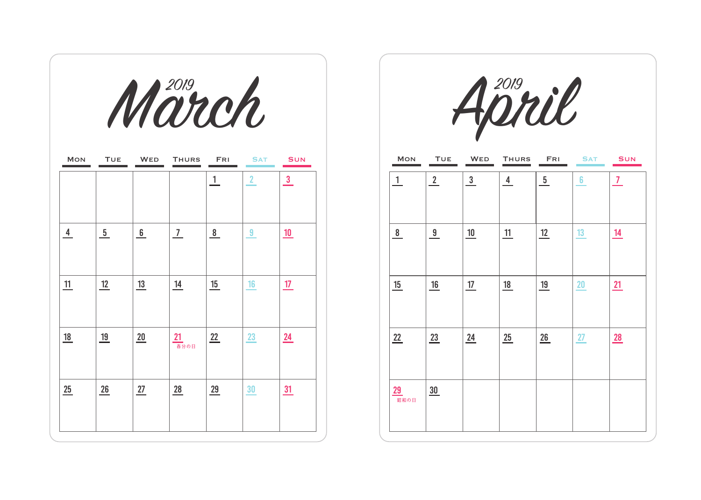|                |               | March          |                             |                |                |                  |
|----------------|---------------|----------------|-----------------------------|----------------|----------------|------------------|
| <b>MON</b>     | <b>TUE</b>    | <b>WED</b>     | <b>THURS</b>                | <b>FRI</b>     | <b>SAT</b>     | <b>SUN</b>       |
|                |               |                |                             | 1              | $\overline{2}$ | $\frac{3}{2}$    |
| $\overline{4}$ | $\frac{5}{2}$ | 6              | $\overline{1}$              | $\frac{8}{1}$  | $\overline{a}$ | <u> 10</u>       |
| $\frac{11}{1}$ | <u>12</u>     | $\frac{13}{2}$ | $\underline{\phantom{0}14}$ | $\frac{15}{1}$ | 16             | <u>17</u>        |
| 18             | <u>19</u>     | $\frac{20}{1}$ | 21<br><sub>春分の日</sub>       | 22             | 23             | $\underline{24}$ |
| 25             | 26            | 27             | $\frac{28}{1}$              | 29             | 30             | $\overline{31}$  |

|              |             | April          |                |                |            |              |
|--------------|-------------|----------------|----------------|----------------|------------|--------------|
| MON          | <b>TUE</b>  | WED            | <b>THURS</b>   | FRI            | <b>SAT</b> | <b>SUN</b>   |
| $\mathbf{1}$ | $2^{\circ}$ | $3\phantom{a}$ | $\overline{4}$ | 5 <sub>5</sub> | 6          | $\mathbf{7}$ |
| 8            | 9           | 10             | 11             | 12             | 13         | 14           |
| 15           | 16          | 17             | 18             | 19             | 20         | 21           |
| 22           | 23          | 24             | 25             | 26             | 27         | 28           |
| 29<br>昭和の日   | 30          |                |                |                |            |              |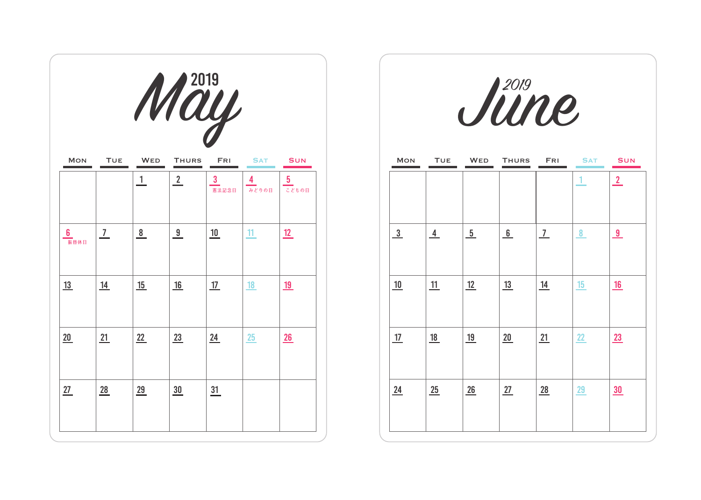|            |                |                | May            |                       |            |                               |  |               |                |               | June         |                |               |                |
|------------|----------------|----------------|----------------|-----------------------|------------|-------------------------------|--|---------------|----------------|---------------|--------------|----------------|---------------|----------------|
| <b>MON</b> | <b>TUE</b>     | <b>WED</b>     | <b>THURS</b>   | <b>FRI</b>            | <b>SAT</b> | <b>SUN</b>                    |  | <b>MON</b>    | <b>TUE</b>     | <b>WED</b>    | <b>THURS</b> | FRI            | <b>SAT</b>    | <b>SUN</b>     |
|            |                | $\overline{1}$ | $\overline{2}$ | 3<br><sub>憲法記念日</sub> | 4<br>みどりの日 | $5\phantom{.0}$<br>ー<br>こどもの日 |  |               |                |               |              |                |               | $\overline{2}$ |
| 6<br>振替休日  | $\overline{1}$ | $\frac{8}{1}$  | 9              | 10                    | 11         | <u>12</u>                     |  | $\frac{3}{2}$ | $\overline{4}$ | $\frac{5}{ }$ | 6            | $\overline{1}$ | $\frac{8}{2}$ | $\overline{9}$ |
| 13         | <u>14</u>      | 15             | 16             | 17                    | 18         | <u>19</u>                     |  | 10            | 11             | 12            | 13           | <u>14</u>      | <u>15</u>     | 16             |
| 20         | 21             | 22             | 23             | 24                    | 25         | 26                            |  | 17            | <u>18</u>      | <u>19</u>     | 20           | 21             | 22            | 23             |
| 27         | 28             | 29             | 30             | $\frac{31}{1}$        |            |                               |  | 24            | 25             | 26            | 27           | 28             | <b>29</b>     | 30             |

|    | $\mathcal{U}$         |            |                          |                |               |               | June         |               |            |                |
|----|-----------------------|------------|--------------------------|----------------|---------------|---------------|--------------|---------------|------------|----------------|
| RS | FRI                   | <b>SAT</b> | <b>SUN</b>               | <b>MON</b>     | <b>TUE</b>    | <b>WED</b>    | <b>THURS</b> | FRI           | <b>SAT</b> | <b>SUN</b>     |
|    | $\mathbf{3}$<br>憲法記念日 | 4<br>みどりの日 | $5\phantom{.0}$<br>こともの日 |                |               |               |              |               |            | $\overline{2}$ |
|    | 10                    | 11         | <u>12</u>                | $\frac{3}{2}$  | $\frac{4}{1}$ | $\frac{5}{2}$ | 6            | $\frac{7}{ }$ | 8          | 9              |
|    | 17                    | 18         | <u> 19</u>               | 10             | 11            | 12            | <u>13</u>    | <u>14</u>     | 15         | 16             |
|    | 24                    | 25         | $\underline{26}$         | <u>17</u>      | <u>18</u>     | <u>19</u>     | 20           | 21            | 22         | 23             |
|    | $\frac{31}{1}$        |            |                          | $\frac{24}{5}$ | 25            | 26            | 27           | 28            | 29         | $\frac{30}{5}$ |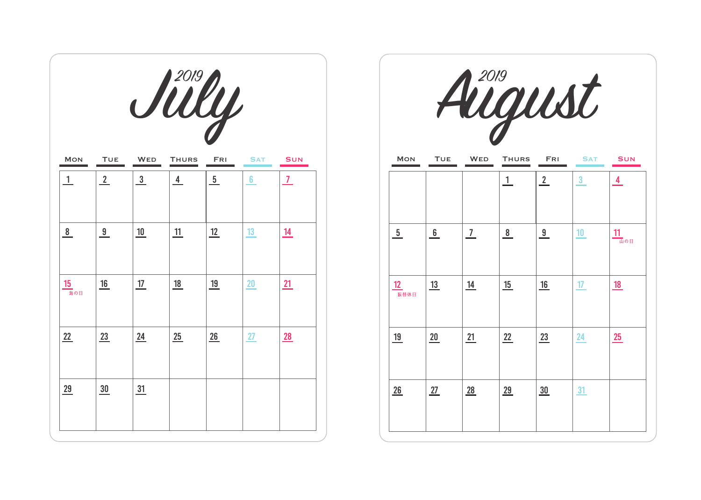|                      |                             |                  | Silly         |               |                |                |                  |            |                | August        |                |                         |
|----------------------|-----------------------------|------------------|---------------|---------------|----------------|----------------|------------------|------------|----------------|---------------|----------------|-------------------------|
| <b>MON</b>           | <b>TUE</b>                  | <b>WED</b>       | <b>THURS</b>  | <b>FRI</b>    | <b>SAT</b>     | <b>SUN</b>     | <b>MON</b>       | <b>TUE</b> | <b>WED</b>     | <b>THURS</b>  | <b>FRI</b>     | <b>SAT</b>              |
| $\perp$              | $\frac{2}{2}$               | $\frac{3}{2}$    | $\frac{4}{1}$ | $\frac{5}{2}$ | 6 <sup>5</sup> | $\overline{1}$ |                  |            |                | $\perp$       | $\frac{2}{ }$  | $\overline{\mathbf{3}}$ |
| 8                    | $\frac{9}{2}$               | 10               | 11            | 12            | 13             | <u>14</u>      | $\frac{5}{ }$    | 6          | $\overline{1}$ | $\frac{8}{1}$ | $\overline{9}$ | 10                      |
| 15<br><sup>海の日</sup> | $\underline{\phantom{0}16}$ | 17               | <u>18</u>     | <u>19</u>     | 20             | <u>21</u>      | 12<br>振替休日       | <u>13</u>  | <u>14</u>      | 15            | 16             | 17                      |
| 22                   | 23                          | $\underline{24}$ | 25            | 26            | 27             | 28             | <u>19</u>        | 20         | <u>21</u>      | 22            | 23             | 24                      |
| 29                   | $\frac{30}{5}$              | $\frac{31}{2}$   |               |               |                |                | $\underline{26}$ | 27         | 28             | 29            | 30             | 31                      |

|                | Silly          |               |                |                |
|----------------|----------------|---------------|----------------|----------------|
| <b>WED</b>     | <b>THURS</b>   | <b>FRI</b>    | <b>SAT</b>     | <b>SUN</b>     |
| $\frac{3}{2}$  | $\overline{4}$ | $\frac{5}{2}$ | $6\phantom{a}$ | $\overline{7}$ |
| 10             | 11             | 12            | 13             | 14             |
| 17             | 18             | <u>19</u>     | 20             | 21             |
| $\frac{24}{5}$ | 25             | 26            | 27             | <u>28</u>      |
| 31             |                |               |                |                |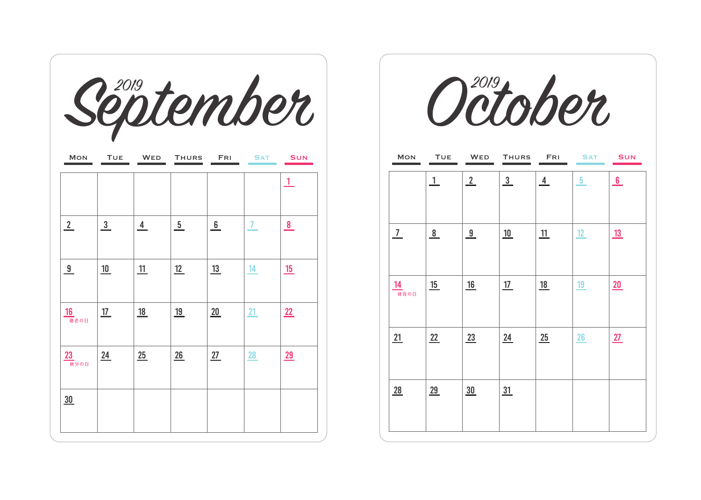|                      |                |              |               |                  |            | Séptember       |
|----------------------|----------------|--------------|---------------|------------------|------------|-----------------|
| <b>MON</b>           | <b>TUE</b>     | <b>WED</b>   | <b>THURS</b>  | <b>FRI</b>       | <b>SAT</b> | <b>SUN</b>      |
|                      |                |              |               |                  |            | Т.              |
| $\frac{2}{\sqrt{2}}$ | $\frac{3}{2}$  | $\frac{4}{}$ | $\frac{5}{ }$ | 6                | 7          | $\frac{8}{1}$   |
| $\frac{9}{2}$        | <u> 10</u>     | <u>11</u>    | <u>12</u>     | 13               | <u>14</u>  | <u> 15</u>      |
| 16                   | $\frac{17}{1}$ | 18           | <u>19</u>     | $\underline{20}$ | 21         | $\overline{22}$ |
| 23<br>秋分の日           | 24             | 25           | 26            | 27               | 28         | 29              |
| 30                   |                |              |               |                  |            |                 |
|                      |                |              |               |                  |            |                 |

|                |              |               | October        |           |                |            |
|----------------|--------------|---------------|----------------|-----------|----------------|------------|
| <b>MON</b>     | <b>TUE</b>   | <b>WED</b>    | <b>THURS</b>   | FRI       | <b>SAT</b>     | <b>SUN</b> |
|                | $\mathbf{1}$ | $\frac{2}{ }$ | $\overline{3}$ | 4         | 5 <sub>1</sub> | 6          |
| 7 <sup>7</sup> | 8            | 9             | 10             | 11        | 12             | <u>13</u>  |
| 14<br>体育の日     | 15           | 16            | 17             | <u>18</u> | 19             | 20         |
| 21             | 22           | 23            | 24             | 25        | 26             | 27         |
| 28             | 29           | 30            | 31             |           |                |            |